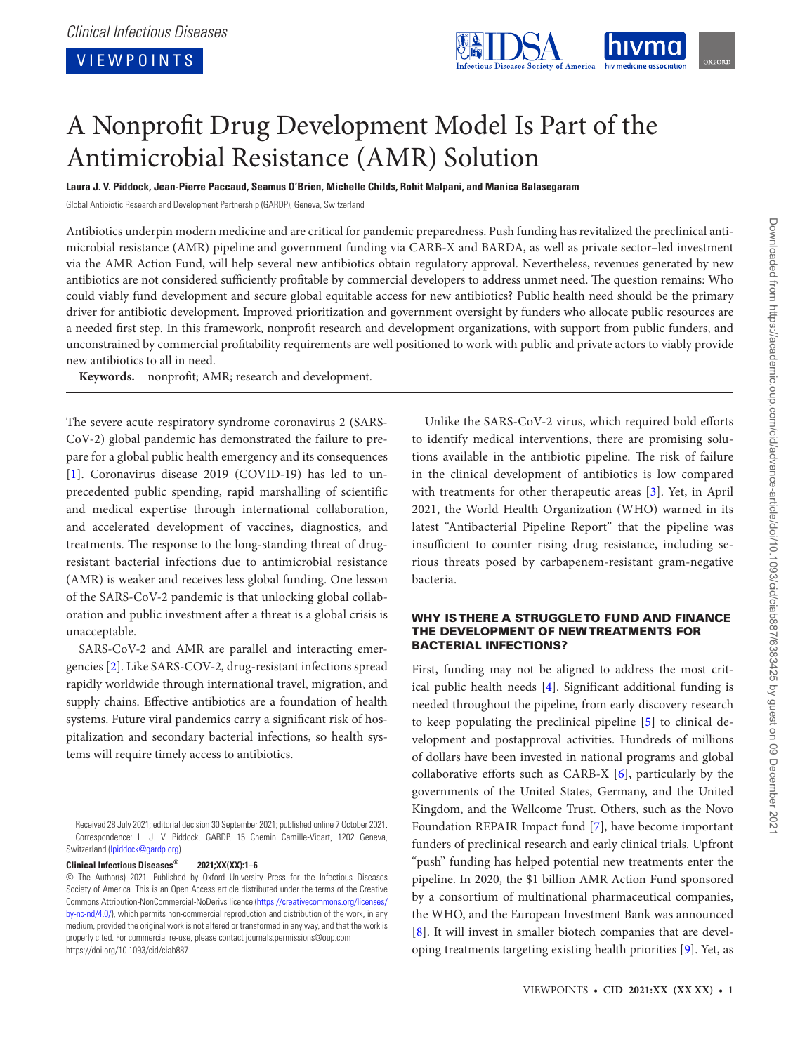VIEWPOINTS



# A Nonprofit Drug Development Model Is Part of the Antimicrobial Resistance (AMR) Solution

**Laura J. V. Piddock, Jean-Pierre Paccaud, Seamus O'Brien, Michelle Childs, Rohit Malpani, and Manica Balasegaram**

Global Antibiotic Research and Development Partnership (GARDP), Geneva, Switzerland

Antibiotics underpin modern medicine and are critical for pandemic preparedness. Push funding has revitalized the preclinical antimicrobial resistance (AMR) pipeline and government funding via CARB-X and BARDA, as well as private sector–led investment via the AMR Action Fund, will help several new antibiotics obtain regulatory approval. Nevertheless, revenues generated by new antibiotics are not considered sufficiently profitable by commercial developers to address unmet need. The question remains: Who could viably fund development and secure global equitable access for new antibiotics? Public health need should be the primary driver for antibiotic development. Improved prioritization and government oversight by funders who allocate public resources are a needed first step. In this framework, nonprofit research and development organizations, with support from public funders, and unconstrained by commercial profitability requirements are well positioned to work with public and private actors to viably provide new antibiotics to all in need.

**Keywords.** nonprofit; AMR; research and development.

The severe acute respiratory syndrome coronavirus 2 (SARS-CoV-2) global pandemic has demonstrated the failure to prepare for a global public health emergency and its consequences [\[1](#page-4-0)]. Coronavirus disease 2019 (COVID-19) has led to unprecedented public spending, rapid marshalling of scientific and medical expertise through international collaboration, and accelerated development of vaccines, diagnostics, and treatments. The response to the long-standing threat of drugresistant bacterial infections due to antimicrobial resistance (AMR) is weaker and receives less global funding. One lesson of the SARS-CoV-2 pandemic is that unlocking global collaboration and public investment after a threat is a global crisis is unacceptable.

SARS-CoV-2 and AMR are parallel and interacting emergencies [[2](#page-4-1)]. Like SARS-COV-2, drug-resistant infections spread rapidly worldwide through international travel, migration, and supply chains. Effective antibiotics are a foundation of health systems. Future viral pandemics carry a significant risk of hospitalization and secondary bacterial infections, so health systems will require timely access to antibiotics.

**Clinical Infectious Diseases® 2021;XX(XX):1–6**

Unlike the SARS-CoV-2 virus, which required bold efforts to identify medical interventions, there are promising solutions available in the antibiotic pipeline. The risk of failure in the clinical development of antibiotics is low compared with treatments for other therapeutic areas [[3\]](#page-4-2). Yet, in April 2021, the World Health Organization (WHO) warned in its latest "Antibacterial Pipeline Report" that the pipeline was insufficient to counter rising drug resistance, including serious threats posed by carbapenem-resistant gram-negative bacteria.

## WHY IS THERE A STRUGGLE TO FUND AND FINANCE THE DEVELOPMENT OF NEW TREATMENTS FOR BACTERIAL INFECTIONS?

First, funding may not be aligned to address the most critical public health needs [\[4\]](#page-4-3). Significant additional funding is needed throughout the pipeline, from early discovery research to keep populating the preclinical pipeline [\[5\]](#page-4-4) to clinical development and postapproval activities. Hundreds of millions of dollars have been invested in national programs and global collaborative efforts such as CARB-X [\[6\]](#page-4-5), particularly by the governments of the United States, Germany, and the United Kingdom, and the Wellcome Trust. Others, such as the Novo Foundation REPAIR Impact fund [\[7\]](#page-4-6), have become important funders of preclinical research and early clinical trials. Upfront "push" funding has helped potential new treatments enter the pipeline. In 2020, the \$1 billion AMR Action Fund sponsored by a consortium of multinational pharmaceutical companies, the WHO, and the European Investment Bank was announced [\[8\]](#page-4-7). It will invest in smaller biotech companies that are developing treatments targeting existing health priorities [\[9\]](#page-4-8). Yet, as

Received 28 July 2021; editorial decision 30 September 2021; published online 7 October 2021. Correspondence: L. J. V. Piddock, GARDP, 15 Chemin Camille-Vidart, 1202 Geneva, Switzerland (Ipiddock@gardp.org).

<sup>©</sup> The Author(s) 2021. Published by Oxford University Press for the Infectious Diseases Society of America. This is an Open Access article distributed under the terms of the Creative Commons Attribution-NonCommercial-NoDerivs licence ([https://creativecommons.org/licenses/](https://creativecommons.org/licenses/by-nc-nd/4.0/) [by-nc-nd/4.0/\)](https://creativecommons.org/licenses/by-nc-nd/4.0/), which permits non-commercial reproduction and distribution of the work, in any medium, provided the original work is not altered or transformed in any way, and that the work is properly cited. For commercial re-use, please contact journals.permissions@oup.com https://doi.org/10.1093/cid/ciab887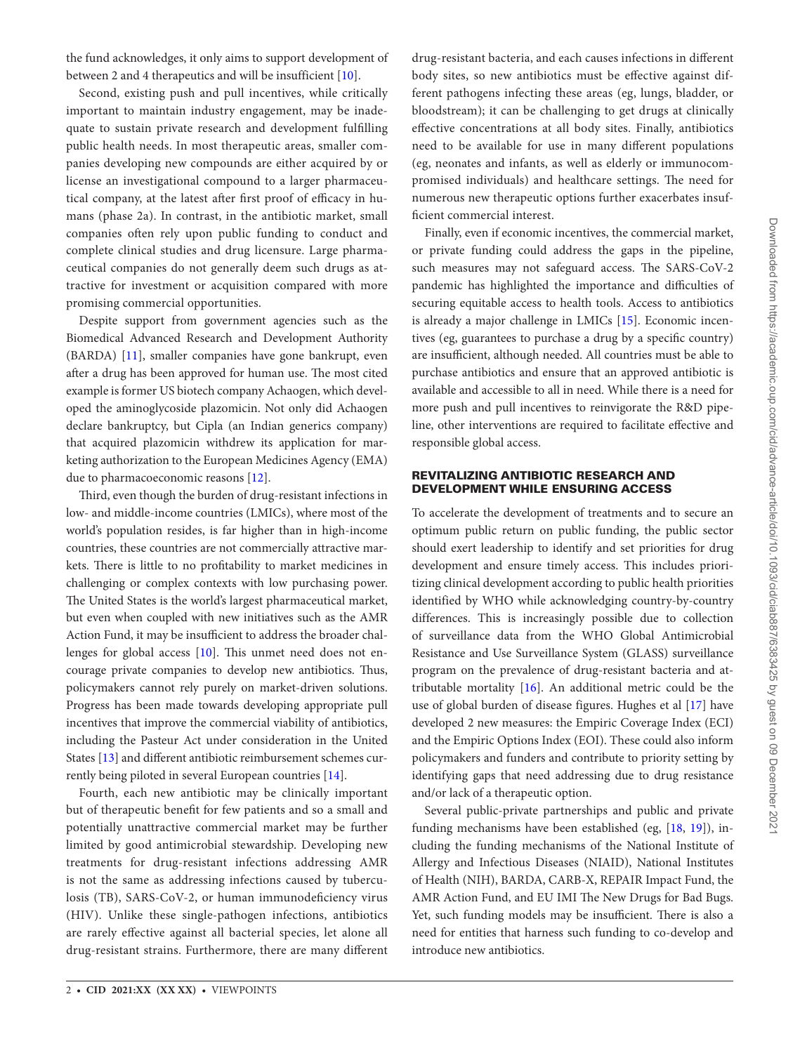the fund acknowledges, it only aims to support development of between 2 and 4 therapeutics and will be insufficient [[10\]](#page-4-9).

Second, existing push and pull incentives, while critically important to maintain industry engagement, may be inadequate to sustain private research and development fulfilling public health needs. In most therapeutic areas, smaller companies developing new compounds are either acquired by or license an investigational compound to a larger pharmaceutical company, at the latest after first proof of efficacy in humans (phase 2a). In contrast, in the antibiotic market, small companies often rely upon public funding to conduct and complete clinical studies and drug licensure. Large pharmaceutical companies do not generally deem such drugs as attractive for investment or acquisition compared with more promising commercial opportunities.

Despite support from government agencies such as the Biomedical Advanced Research and Development Authority (BARDA) [\[11\]](#page-4-10), smaller companies have gone bankrupt, even after a drug has been approved for human use. The most cited example is former US biotech company Achaogen, which developed the aminoglycoside plazomicin. Not only did Achaogen declare bankruptcy, but Cipla (an Indian generics company) that acquired plazomicin withdrew its application for marketing authorization to the European Medicines Agency (EMA) due to pharmacoeconomic reasons [[12\]](#page-4-11).

Third, even though the burden of drug-resistant infections in low- and middle-income countries (LMICs), where most of the world's population resides, is far higher than in high-income countries, these countries are not commercially attractive markets. There is little to no profitability to market medicines in challenging or complex contexts with low purchasing power. The United States is the world's largest pharmaceutical market, but even when coupled with new initiatives such as the AMR Action Fund, it may be insufficient to address the broader challenges for global access [\[10](#page-4-9)]. This unmet need does not encourage private companies to develop new antibiotics. Thus, policymakers cannot rely purely on market-driven solutions. Progress has been made towards developing appropriate pull incentives that improve the commercial viability of antibiotics, including the Pasteur Act under consideration in the United States [[13](#page-4-12)] and different antibiotic reimbursement schemes currently being piloted in several European countries [\[14](#page-4-13)].

Fourth, each new antibiotic may be clinically important but of therapeutic benefit for few patients and so a small and potentially unattractive commercial market may be further limited by good antimicrobial stewardship. Developing new treatments for drug-resistant infections addressing AMR is not the same as addressing infections caused by tuberculosis (TB), SARS-CoV-2, or human immunodeficiency virus (HIV). Unlike these single-pathogen infections, antibiotics are rarely effective against all bacterial species, let alone all drug-resistant strains. Furthermore, there are many different

drug-resistant bacteria, and each causes infections in different body sites, so new antibiotics must be effective against different pathogens infecting these areas (eg, lungs, bladder, or bloodstream); it can be challenging to get drugs at clinically effective concentrations at all body sites. Finally, antibiotics need to be available for use in many different populations (eg, neonates and infants, as well as elderly or immunocompromised individuals) and healthcare settings. The need for numerous new therapeutic options further exacerbates insufficient commercial interest.

Finally, even if economic incentives, the commercial market, or private funding could address the gaps in the pipeline, such measures may not safeguard access. The SARS-CoV-2 pandemic has highlighted the importance and difficulties of securing equitable access to health tools. Access to antibiotics is already a major challenge in LMICs [\[15](#page-4-14)]. Economic incentives (eg, guarantees to purchase a drug by a specific country) are insufficient, although needed. All countries must be able to purchase antibiotics and ensure that an approved antibiotic is available and accessible to all in need. While there is a need for more push and pull incentives to reinvigorate the R&D pipeline, other interventions are required to facilitate effective and responsible global access.

# REVITALIZING ANTIBIOTIC RESEARCH AND DEVELOPMENT WHILE ENSURING ACCESS

To accelerate the development of treatments and to secure an optimum public return on public funding, the public sector should exert leadership to identify and set priorities for drug development and ensure timely access. This includes prioritizing clinical development according to public health priorities identified by WHO while acknowledging country-by-country differences. This is increasingly possible due to collection of surveillance data from the WHO Global Antimicrobial Resistance and Use Surveillance System (GLASS) surveillance program on the prevalence of drug-resistant bacteria and attributable mortality [\[16\]](#page-4-15). An additional metric could be the use of global burden of disease figures. Hughes et al [\[17](#page-4-16)] have developed 2 new measures: the Empiric Coverage Index (ECI) and the Empiric Options Index (EOI). These could also inform policymakers and funders and contribute to priority setting by identifying gaps that need addressing due to drug resistance and/or lack of a therapeutic option.

Several public-private partnerships and public and private funding mechanisms have been established (eg, [\[18](#page-5-0), [19\]](#page-5-1)), including the funding mechanisms of the National Institute of Allergy and Infectious Diseases (NIAID), National Institutes of Health (NIH), BARDA, CARB-X, REPAIR Impact Fund, the AMR Action Fund, and EU IMI The New Drugs for Bad Bugs. Yet, such funding models may be insufficient. There is also a need for entities that harness such funding to co-develop and introduce new antibiotics.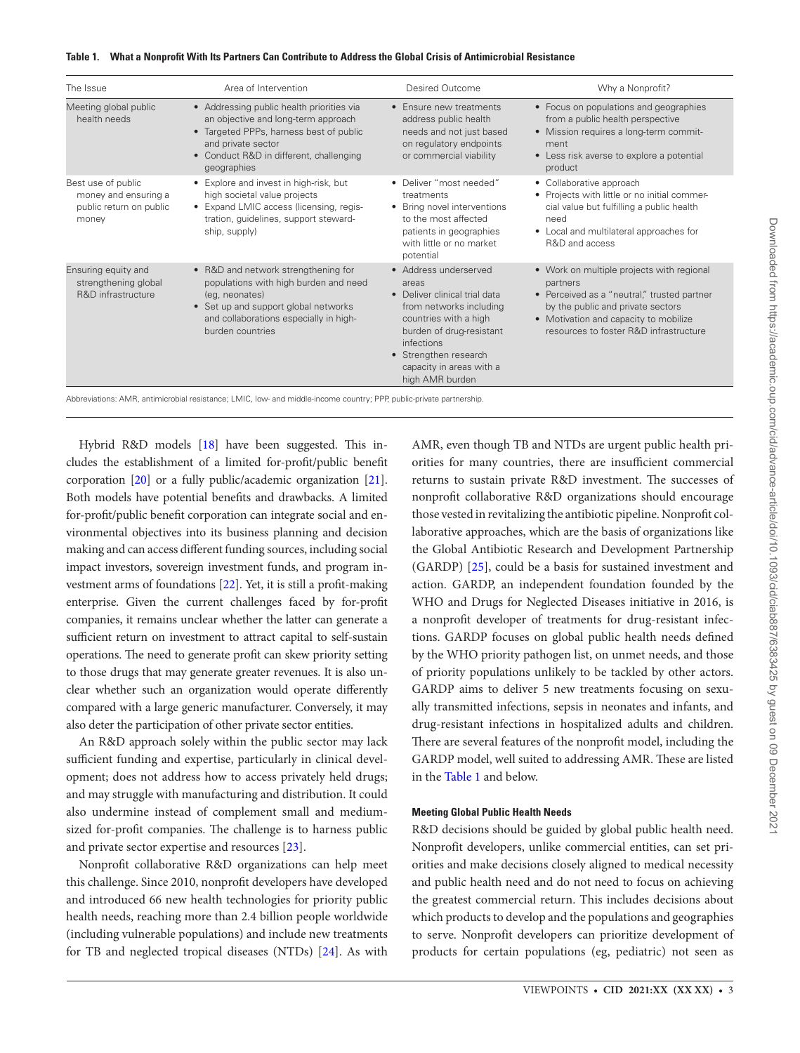| The Issue                                                                      | Area of Intervention                                                                                                                                                                                        | Desired Outcome                                                                                                                                                                                                                       | Why a Nonprofit?                                                                                                                                                                                                             |
|--------------------------------------------------------------------------------|-------------------------------------------------------------------------------------------------------------------------------------------------------------------------------------------------------------|---------------------------------------------------------------------------------------------------------------------------------------------------------------------------------------------------------------------------------------|------------------------------------------------------------------------------------------------------------------------------------------------------------------------------------------------------------------------------|
| Meeting global public<br>health needs                                          | • Addressing public health priorities via<br>an objective and long-term approach<br>• Targeted PPPs, harness best of public<br>and private sector<br>• Conduct R&D in different, challenging<br>geographies | • Ensure new treatments<br>address public health<br>needs and not just based<br>on regulatory endpoints<br>or commercial viability                                                                                                    | • Focus on populations and geographies<br>from a public health perspective<br>• Mission requires a long-term commit-<br>ment<br>• Less risk averse to explore a potential<br>product                                         |
| Best use of public<br>money and ensuring a<br>public return on public<br>money | • Explore and invest in high-risk, but<br>high societal value projects<br>• Expand LMIC access (licensing, regis-<br>tration, guidelines, support steward-<br>ship, supply)                                 | • Deliver "most needed"<br>treatments<br>• Bring novel interventions<br>to the most affected<br>patients in geographies<br>with little or no market<br>potential                                                                      | • Collaborative approach<br>• Projects with little or no initial commer-<br>cial value but fulfilling a public health<br>need<br>• Local and multilateral approaches for<br>R&D and access                                   |
| Ensuring equity and<br>strengthening global<br>R&D infrastructure              | • R&D and network strengthening for<br>populations with high burden and need<br>(eq. neonates)<br>• Set up and support global networks<br>and collaborations especially in high-<br>burden countries        | • Address underserved<br>areas<br>• Deliver clinical trial data<br>from networks including<br>countries with a high<br>burden of drug-resistant<br>infections<br>• Strengthen research<br>capacity in areas with a<br>high AMR burden | • Work on multiple projects with regional<br>partners<br>• Perceived as a "neutral," trusted partner<br>by the public and private sectors<br>• Motivation and capacity to mobilize<br>resources to foster R&D infrastructure |

#### <span id="page-2-0"></span>**Table 1. What a Nonprofit With Its Partners Can Contribute to Address the Global Crisis of Antimicrobial Resistance**

Abbreviations: AMR, antimicrobial resistance; LMIC, low- and middle-income country; PPP, public-private partnership.

Hybrid R&D models [\[18](#page-5-0)] have been suggested. This includes the establishment of a limited for-profit/public benefit corporation [\[20\]](#page-5-2) or a fully public/academic organization [[21\]](#page-5-3). Both models have potential benefits and drawbacks. A limited for-profit/public benefit corporation can integrate social and environmental objectives into its business planning and decision making and can access different funding sources, including social impact investors, sovereign investment funds, and program investment arms of foundations [[22\]](#page-5-4). Yet, it is still a profit-making enterprise. Given the current challenges faced by for-profit companies, it remains unclear whether the latter can generate a sufficient return on investment to attract capital to self-sustain operations. The need to generate profit can skew priority setting to those drugs that may generate greater revenues. It is also unclear whether such an organization would operate differently compared with a large generic manufacturer. Conversely, it may also deter the participation of other private sector entities.

An R&D approach solely within the public sector may lack sufficient funding and expertise, particularly in clinical development; does not address how to access privately held drugs; and may struggle with manufacturing and distribution. It could also undermine instead of complement small and mediumsized for-profit companies. The challenge is to harness public and private sector expertise and resources [[23](#page-5-5)].

Nonprofit collaborative R&D organizations can help meet this challenge. Since 2010, nonprofit developers have developed and introduced 66 new health technologies for priority public health needs, reaching more than 2.4 billion people worldwide (including vulnerable populations) and include new treatments for TB and neglected tropical diseases (NTDs) [\[24\]](#page-5-6). As with

AMR, even though TB and NTDs are urgent public health priorities for many countries, there are insufficient commercial returns to sustain private R&D investment. The successes of nonprofit collaborative R&D organizations should encourage those vested in revitalizing the antibiotic pipeline. Nonprofit collaborative approaches, which are the basis of organizations like the Global Antibiotic Research and Development Partnership (GARDP) [\[25](#page-5-7)], could be a basis for sustained investment and action. GARDP, an independent foundation founded by the WHO and Drugs for Neglected Diseases initiative in 2016, is a nonprofit developer of treatments for drug-resistant infections. GARDP focuses on global public health needs defined by the WHO priority pathogen list, on unmet needs, and those of priority populations unlikely to be tackled by other actors. GARDP aims to deliver 5 new treatments focusing on sexually transmitted infections, sepsis in neonates and infants, and drug-resistant infections in hospitalized adults and children. There are several features of the nonprofit model, including the GARDP model, well suited to addressing AMR. These are listed in the [Table 1](#page-2-0) and below.

# **Meeting Global Public Health Needs**

R&D decisions should be guided by global public health need. Nonprofit developers, unlike commercial entities, can set priorities and make decisions closely aligned to medical necessity and public health need and do not need to focus on achieving the greatest commercial return. This includes decisions about which products to develop and the populations and geographies to serve. Nonprofit developers can prioritize development of products for certain populations (eg, pediatric) not seen as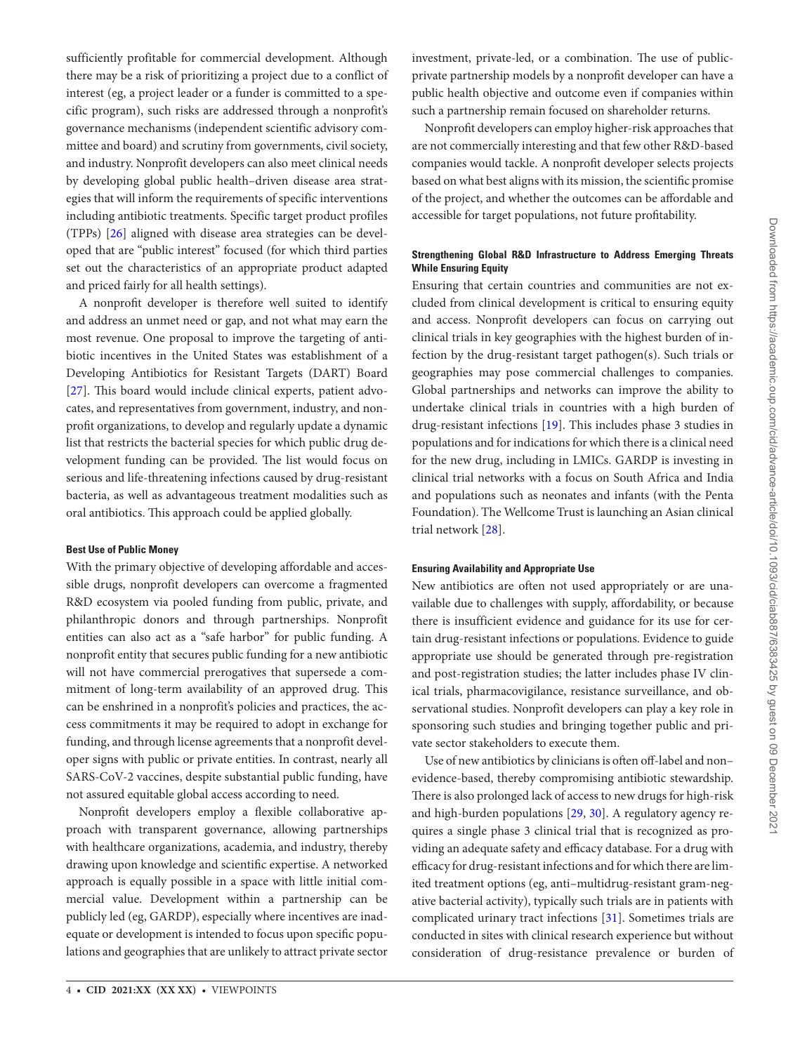sufficiently profitable for commercial development. Although there may be a risk of prioritizing a project due to a conflict of interest (eg, a project leader or a funder is committed to a specific program), such risks are addressed through a nonprofit's governance mechanisms (independent scientific advisory committee and board) and scrutiny from governments, civil society, and industry. Nonprofit developers can also meet clinical needs by developing global public health–driven disease area strategies that will inform the requirements of specific interventions including antibiotic treatments. Specific target product profiles (TPPs) [[26\]](#page-5-8) aligned with disease area strategies can be developed that are "public interest" focused (for which third parties set out the characteristics of an appropriate product adapted and priced fairly for all health settings).

A nonprofit developer is therefore well suited to identify and address an unmet need or gap, and not what may earn the most revenue. One proposal to improve the targeting of antibiotic incentives in the United States was establishment of a Developing Antibiotics for Resistant Targets (DART) Board [\[27](#page-5-9)]. This board would include clinical experts, patient advocates, and representatives from government, industry, and nonprofit organizations, to develop and regularly update a dynamic list that restricts the bacterial species for which public drug development funding can be provided. The list would focus on serious and life-threatening infections caused by drug-resistant bacteria, as well as advantageous treatment modalities such as oral antibiotics. This approach could be applied globally.

## **Best Use of Public Money**

With the primary objective of developing affordable and accessible drugs, nonprofit developers can overcome a fragmented R&D ecosystem via pooled funding from public, private, and philanthropic donors and through partnerships. Nonprofit entities can also act as a "safe harbor" for public funding. A nonprofit entity that secures public funding for a new antibiotic will not have commercial prerogatives that supersede a commitment of long-term availability of an approved drug. This can be enshrined in a nonprofit's policies and practices, the access commitments it may be required to adopt in exchange for funding, and through license agreements that a nonprofit developer signs with public or private entities. In contrast, nearly all SARS-CoV-2 vaccines, despite substantial public funding, have not assured equitable global access according to need.

Nonprofit developers employ a flexible collaborative approach with transparent governance, allowing partnerships with healthcare organizations, academia, and industry, thereby drawing upon knowledge and scientific expertise. A networked approach is equally possible in a space with little initial commercial value. Development within a partnership can be publicly led (eg, GARDP), especially where incentives are inadequate or development is intended to focus upon specific populations and geographies that are unlikely to attract private sector investment, private-led, or a combination. The use of publicprivate partnership models by a nonprofit developer can have a public health objective and outcome even if companies within such a partnership remain focused on shareholder returns.

Nonprofit developers can employ higher-risk approaches that are not commercially interesting and that few other R&D-based companies would tackle. A nonprofit developer selects projects based on what best aligns with its mission, the scientific promise of the project, and whether the outcomes can be affordable and accessible for target populations, not future profitability.

# **Strengthening Global R&D Infrastructure to Address Emerging Threats While Ensuring Equity**

Ensuring that certain countries and communities are not excluded from clinical development is critical to ensuring equity and access. Nonprofit developers can focus on carrying out clinical trials in key geographies with the highest burden of infection by the drug-resistant target pathogen(s). Such trials or geographies may pose commercial challenges to companies. Global partnerships and networks can improve the ability to undertake clinical trials in countries with a high burden of drug-resistant infections [\[19\]](#page-5-1). This includes phase 3 studies in populations and for indications for which there is a clinical need for the new drug, including in LMICs. GARDP is investing in clinical trial networks with a focus on South Africa and India and populations such as neonates and infants (with the Penta Foundation). The Wellcome Trust is launching an Asian clinical trial network [[28\]](#page-5-10).

## **Ensuring Availability and Appropriate Use**

New antibiotics are often not used appropriately or are unavailable due to challenges with supply, affordability, or because there is insufficient evidence and guidance for its use for certain drug-resistant infections or populations. Evidence to guide appropriate use should be generated through pre-registration and post-registration studies; the latter includes phase IV clinical trials, pharmacovigilance, resistance surveillance, and observational studies. Nonprofit developers can play a key role in sponsoring such studies and bringing together public and private sector stakeholders to execute them.

Use of new antibiotics by clinicians is often off-label and non– evidence-based, thereby compromising antibiotic stewardship. There is also prolonged lack of access to new drugs for high-risk and high-burden populations [[29](#page-5-11), [30\]](#page-5-12). A regulatory agency requires a single phase 3 clinical trial that is recognized as providing an adequate safety and efficacy database. For a drug with efficacy for drug-resistant infections and for which there are limited treatment options (eg, anti–multidrug-resistant gram-negative bacterial activity), typically such trials are in patients with complicated urinary tract infections [[31\]](#page-5-13). Sometimes trials are conducted in sites with clinical research experience but without consideration of drug-resistance prevalence or burden of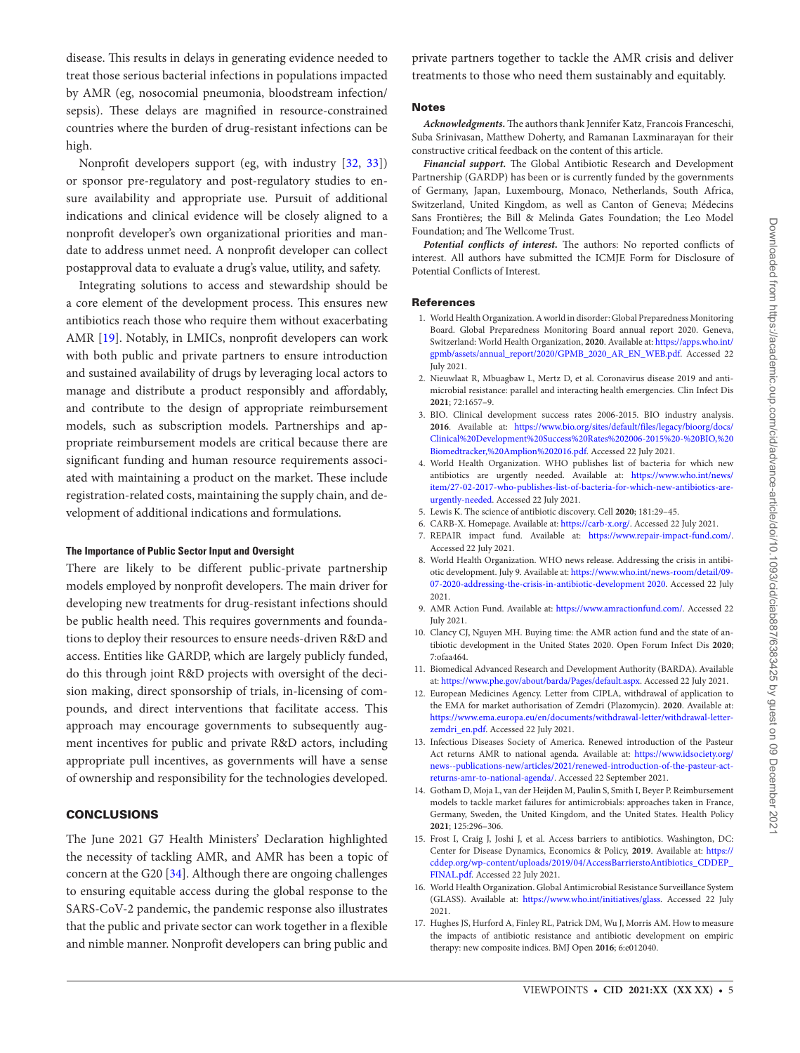disease. This results in delays in generating evidence needed to treat those serious bacterial infections in populations impacted by AMR (eg, nosocomial pneumonia, bloodstream infection/ sepsis). These delays are magnified in resource-constrained countries where the burden of drug-resistant infections can be high.

Nonprofit developers support (eg, with industry [[32](#page-5-14), [33](#page-5-15)]) or sponsor pre-regulatory and post-regulatory studies to ensure availability and appropriate use. Pursuit of additional indications and clinical evidence will be closely aligned to a nonprofit developer's own organizational priorities and mandate to address unmet need. A nonprofit developer can collect postapproval data to evaluate a drug's value, utility, and safety.

Integrating solutions to access and stewardship should be a core element of the development process. This ensures new antibiotics reach those who require them without exacerbating AMR [\[19](#page-5-1)]. Notably, in LMICs, nonprofit developers can work with both public and private partners to ensure introduction and sustained availability of drugs by leveraging local actors to manage and distribute a product responsibly and affordably, and contribute to the design of appropriate reimbursement models, such as subscription models. Partnerships and appropriate reimbursement models are critical because there are significant funding and human resource requirements associated with maintaining a product on the market. These include registration-related costs, maintaining the supply chain, and development of additional indications and formulations.

### **The Importance of Public Sector Input and Oversight**

There are likely to be different public-private partnership models employed by nonprofit developers. The main driver for developing new treatments for drug-resistant infections should be public health need. This requires governments and foundations to deploy their resources to ensure needs-driven R&D and access. Entities like GARDP, which are largely publicly funded, do this through joint R&D projects with oversight of the decision making, direct sponsorship of trials, in-licensing of compounds, and direct interventions that facilitate access. This approach may encourage governments to subsequently augment incentives for public and private R&D actors, including appropriate pull incentives, as governments will have a sense of ownership and responsibility for the technologies developed.

## **CONCLUSIONS**

The June 2021 G7 Health Ministers' Declaration highlighted the necessity of tackling AMR, and AMR has been a topic of concern at the G20 [[34](#page-5-16)]. Although there are ongoing challenges to ensuring equitable access during the global response to the SARS-CoV-2 pandemic, the pandemic response also illustrates that the public and private sector can work together in a flexible and nimble manner. Nonprofit developers can bring public and

private partners together to tackle the AMR crisis and deliver treatments to those who need them sustainably and equitably.

#### **Notes**

*Acknowledgments.* The authors thank Jennifer Katz, Francois Franceschi, Suba Srinivasan, Matthew Doherty, and Ramanan Laxminarayan for their constructive critical feedback on the content of this article.

*Financial support.* The Global Antibiotic Research and Development Partnership (GARDP) has been or is currently funded by the governments of Germany, Japan, Luxembourg, Monaco, Netherlands, South Africa, Switzerland, United Kingdom, as well as Canton of Geneva; Médecins Sans Frontières; the Bill & Melinda Gates Foundation; the Leo Model Foundation; and The Wellcome Trust.

*Potential conflicts of interest.* The authors: No reported conflicts of interest. All authors have submitted the ICMJE Form for Disclosure of Potential Conflicts of Interest.

#### References

- <span id="page-4-0"></span>1. World Health Organization. A world in disorder: Global Preparedness Monitoring Board. Global Preparedness Monitoring Board annual report 2020. Geneva, Switzerland: World Health Organization, **2020**. Available at: [https://apps.who.int/](https://apps.who.int/gpmb/assets/annual_report/2020/GPMB_2020_AR_EN_WEB.pdf) [gpmb/assets/annual\\_report/2020/GPMB\\_2020\\_AR\\_EN\\_WEB.pdf](https://apps.who.int/gpmb/assets/annual_report/2020/GPMB_2020_AR_EN_WEB.pdf). Accessed 22 July 2021.
- <span id="page-4-1"></span>2. Nieuwlaat R, Mbuagbaw L, Mertz D, et al. Coronavirus disease 2019 and antimicrobial resistance: parallel and interacting health emergencies. Clin Infect Dis **2021**; 72:1657–9.
- <span id="page-4-2"></span>3. BIO. Clinical development success rates 2006-2015. BIO industry analysis. **2016**. Available at: [https://www.bio.org/sites/default/files/legacy/bioorg/docs/](https://www.bio.org/sites/default/files/legacy/bioorg/docs/Clinical%20Development%20Success%20Rates%202006-2015%20-%20BIO,%20Biomedtracker,%20Amplion%202016.pdf) [Clinical%20Development%20Success%20Rates%202006-2015%20-%20BIO,%20](https://www.bio.org/sites/default/files/legacy/bioorg/docs/Clinical%20Development%20Success%20Rates%202006-2015%20-%20BIO,%20Biomedtracker,%20Amplion%202016.pdf) [Biomedtracker,%20Amplion%202016.pdf.](https://www.bio.org/sites/default/files/legacy/bioorg/docs/Clinical%20Development%20Success%20Rates%202006-2015%20-%20BIO,%20Biomedtracker,%20Amplion%202016.pdf) Accessed 22 July 2021.
- <span id="page-4-3"></span>4. World Health Organization. WHO publishes list of bacteria for which new antibiotics are urgently needed. Available at: [https://www.who.int/news/](https://www.who.int/news/item/27-02-2017-who-publishes-list-of-bacteria-for-which-new-antibiotics-are-urgently-needed) [item/27-02-2017-who-publishes-list-of-bacteria-for-which-new-antibiotics-are](https://www.who.int/news/item/27-02-2017-who-publishes-list-of-bacteria-for-which-new-antibiotics-are-urgently-needed)[urgently-needed](https://www.who.int/news/item/27-02-2017-who-publishes-list-of-bacteria-for-which-new-antibiotics-are-urgently-needed). Accessed 22 July 2021.
- <span id="page-4-4"></span>5. Lewis K. The science of antibiotic discovery. Cell **2020**; 181:29–45.
- <span id="page-4-5"></span>6. CARB-X. Homepage. Available at: [https://carb-x.org/.](https://carb-x.org/) Accessed 22 July 2021.
- <span id="page-4-6"></span>7. REPAIR impact fund. Available at: <https://www.repair-impact-fund.com/>. Accessed 22 July 2021.
- <span id="page-4-7"></span>8. World Health Organization. WHO news release. Addressing the crisis in antibiotic development. July 9. Available at: [https://www.who.int/news-room/detail/09-](https://www.who.int/news-room/detail/09-07-2020-addressing-the-crisis-in-antibiotic-development 2020) [07-2020-addressing-the-crisis-in-antibiotic-development 2020](https://www.who.int/news-room/detail/09-07-2020-addressing-the-crisis-in-antibiotic-development 2020). Accessed 22 July 2021.
- <span id="page-4-8"></span>9. AMR Action Fund. Available at: [https://www.amractionfund.com/.](https://www.amractionfund.com/) Accessed 22 July 2021.
- <span id="page-4-9"></span>10. Clancy CJ, Nguyen MH. Buying time: the AMR action fund and the state of antibiotic development in the United States 2020. Open Forum Infect Dis **2020**; 7:ofaa464.
- <span id="page-4-10"></span>11. Biomedical Advanced Research and Development Authority (BARDA). Available at: <https://www.phe.gov/about/barda/Pages/default.aspx>. Accessed 22 July 2021.
- <span id="page-4-11"></span>12. European Medicines Agency. Letter from CIPLA, withdrawal of application to the EMA for market authorisation of Zemdri (Plazomycin). **2020**. Available at: [https://www.ema.europa.eu/en/documents/withdrawal-letter/withdrawal-letter](https://www.ema.europa.eu/en/documents/withdrawal-letter/withdrawal-letter-zemdri_en.pdf)[zemdri\\_en.pdf.](https://www.ema.europa.eu/en/documents/withdrawal-letter/withdrawal-letter-zemdri_en.pdf) Accessed 22 July 2021.
- <span id="page-4-12"></span>13. Infectious Diseases Society of America. Renewed introduction of the Pasteur Act returns AMR to national agenda. Available at: [https://www.idsociety.org/](https://www.idsociety.org/news--publications-new/articles/2021/renewed-introduction-of-the-pasteur-act-returns-amr-to-national-agenda/) [news--publications-new/articles/2021/renewed-introduction-of-the-pasteur-act](https://www.idsociety.org/news--publications-new/articles/2021/renewed-introduction-of-the-pasteur-act-returns-amr-to-national-agenda/)[returns-amr-to-national-agenda/.](https://www.idsociety.org/news--publications-new/articles/2021/renewed-introduction-of-the-pasteur-act-returns-amr-to-national-agenda/) Accessed 22 September 2021.
- <span id="page-4-13"></span>14. Gotham D, Moja L, van der Heijden M, Paulin S, Smith I, Beyer P. Reimbursement models to tackle market failures for antimicrobials: approaches taken in France, Germany, Sweden, the United Kingdom, and the United States. Health Policy **2021**; 125:296–306.
- <span id="page-4-14"></span>15. Frost I, Craig J, Joshi J, et al. Access barriers to antibiotics. Washington, DC: Center for Disease Dynamics, Economics & Policy, **2019**. Available at: [https://](https://cddep.org/wp-content/uploads/2019/04/AccessBarrierstoAntibiotics_CDDEP_FINAL.pdf) [cddep.org/wp-content/uploads/2019/04/AccessBarrierstoAntibiotics\\_CDDEP\\_](https://cddep.org/wp-content/uploads/2019/04/AccessBarrierstoAntibiotics_CDDEP_FINAL.pdf) [FINAL.pdf](https://cddep.org/wp-content/uploads/2019/04/AccessBarrierstoAntibiotics_CDDEP_FINAL.pdf). Accessed 22 July 2021.
- <span id="page-4-15"></span>16. World Health Organization. Global Antimicrobial Resistance Surveillance System (GLASS). Available at: [https://www.who.int/initiatives/glass.](https://www.who.int/initiatives/glass) Accessed 22 July 2021.
- <span id="page-4-16"></span>17. Hughes JS, Hurford A, Finley RL, Patrick DM, Wu J, Morris AM. How to measure the impacts of antibiotic resistance and antibiotic development on empiric therapy: new composite indices. BMJ Open **2016**; 6:e012040.